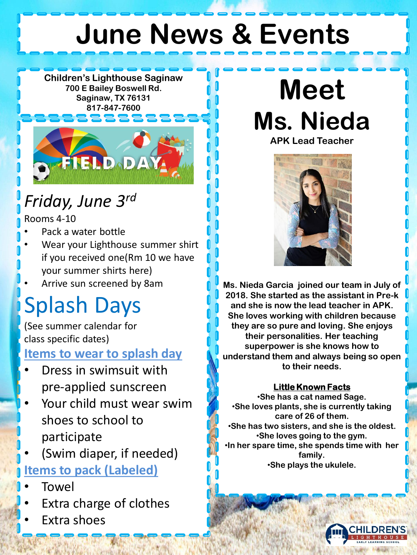# **June News & Events**

**Children's Lighthouse Saginaw 700 E Bailey Boswell Rd. Saginaw, TX 76131 817-847-7600**



### *Friday, June 3rd*

Rooms 4-10

- Pack a water bottle
- Wear your Lighthouse summer shirt if you received one(Rm 10 we have your summer shirts here)
- Arrive sun screened by 8am

### Splash Days

(See summer calendar for class specific dates)

#### **Items to wear to splash day**

- Dress in swimsuit with pre-applied sunscreen
- Your child must wear swim shoes to school to participate

• (Swim diaper, if needed)

#### **Items to pack (Labeled)**

- Towel
- Extra charge of clothes
- Extra shoes

## **Meet Ms. Nieda**

**APK Lead Teacher**



**Ms. Nieda Garcia joined our team in July of 2018. She started as the assistant in Pre-k and she is now the lead teacher in APK. She loves working with children because they are so pure and loving. She enjoys their personalities. Her teaching superpower is she knows how to understand them and always being so open to their needs.** 

#### **Little Known Facts**

•**She has a cat named Sage.** •**She loves plants, she is currently taking care of 26 of them.** •**She has two sisters, and she is the oldest.** •**She loves going to the gym.** •**In her spare time, she spends time with her family.** •**She plays the ukulele.**

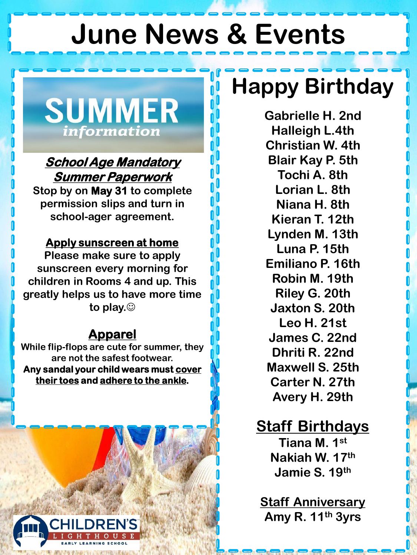## **June News & Events**

**SUMMER** information

#### **School Age Mandatory Summer Paperwork**

**Stop by on May 31 to complete permission slips and turn in school-ager agreement.**

#### **Apply sunscreen at home**

**Please make sure to apply sunscreen every morning for children in Rooms 4 and up. This greatly helps us to have more time to play.**☺

#### **Apparel**

**While flip-flops are cute for summer, they are not the safest footwear.**  Any sandal your child wears must **cover their toes and adhere to the ankle.**

### **Happy Birthday**

**Gabrielle H. 2nd Halleigh L.4th Christian W. 4th Blair Kay P. 5th Tochi A. 8th Lorian L. 8th Niana H. 8th Kieran T. 12th Lynden M. 13th Luna P. 15th Emiliano P. 16th Robin M. 19th Riley G. 20th Jaxton S. 20th Leo H. 21st James C. 22nd Dhriti R. 22nd Maxwell S. 25th Carter N. 27th Avery H. 29th**

#### **Staff Birthdays**

**Tiana M. 1st Nakiah W. 17th Jamie S. 19th**

**Staff Anniversary Amy R. 11th 3yrs**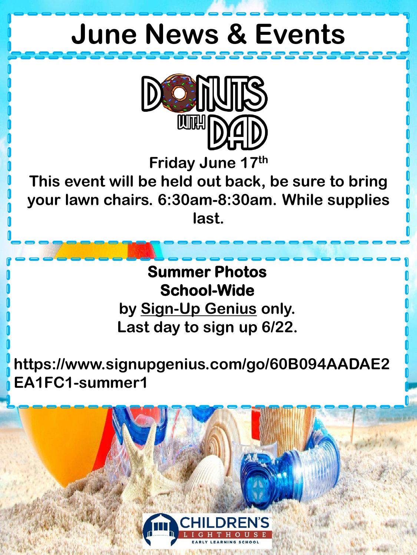### **June News & Events**



**Friday June 17th**

**This event will be held out back, be sure to bring your lawn chairs. 6:30am-8:30am. While supplies last.**

> **Summer Photos School-Wide by Sign-Up Genius only. Last day to sign up 6/22.**

**https://www.signupgenius.com/go/60B094AADAE2 EA1FC1-summer1**